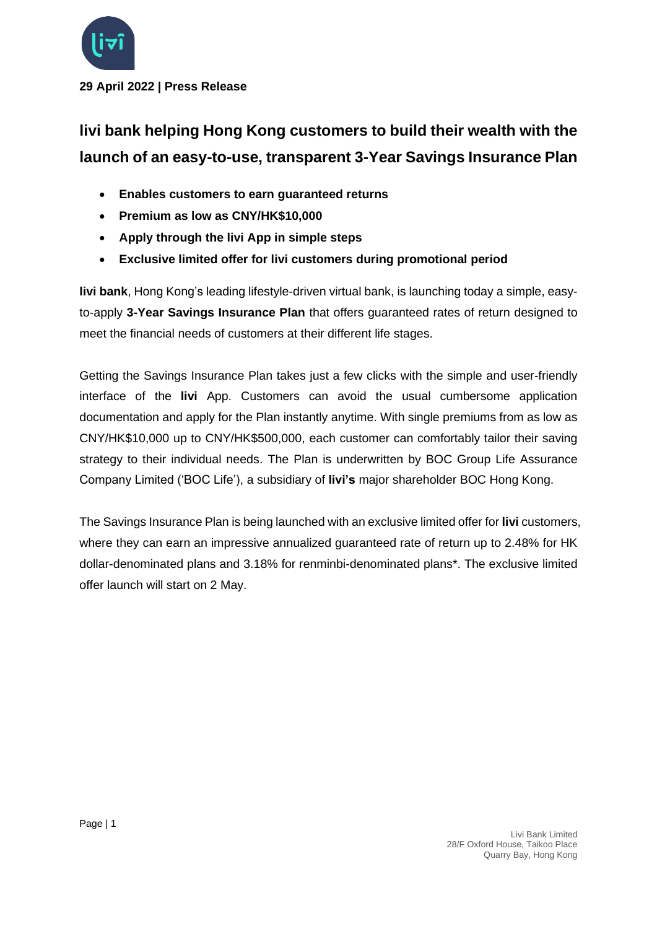

**29 April 2022 | Press Release**

## **livi bank helping Hong Kong customers to build their wealth with the launch of an easy-to-use, transparent 3-Year Savings Insurance Plan**

- **Enables customers to earn guaranteed returns**
- **Premium as low as CNY/HK\$10,000**
- **Apply through the livi App in simple steps**
- **Exclusive limited offer for livi customers during promotional period**

**livi bank**, Hong Kong's leading lifestyle-driven virtual bank, is launching today a simple, easyto-apply **3-Year Savings Insurance Plan** that offers guaranteed rates of return designed to meet the financial needs of customers at their different life stages.

Getting the Savings Insurance Plan takes just a few clicks with the simple and user-friendly interface of the **livi** App. Customers can avoid the usual cumbersome application documentation and apply for the Plan instantly anytime. With single premiums from as low as CNY/HK\$10,000 up to CNY/HK\$500,000, each customer can comfortably tailor their saving strategy to their individual needs. The Plan is underwritten by BOC Group Life Assurance Company Limited ('BOC Life'), a subsidiary of **livi's** major shareholder BOC Hong Kong.

The Savings Insurance Plan is being launched with an exclusive limited offer for **livi** customers, where they can earn an impressive annualized guaranteed rate of return up to 2.48% for HK dollar-denominated plans and 3.18% for renminbi-denominated plans\*. The exclusive limited offer launch will start on 2 May.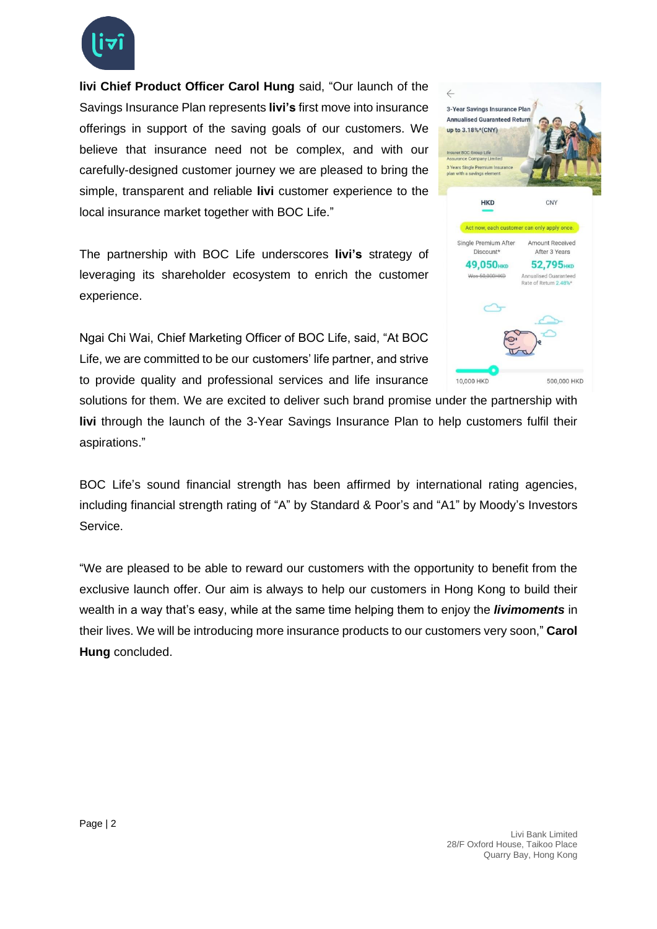

**livi Chief Product Officer Carol Hung** said, "Our launch of the Savings Insurance Plan represents **livi's** first move into insurance offerings in support of the saving goals of our customers. We believe that insurance need not be complex, and with our carefully-designed customer journey we are pleased to bring the simple, transparent and reliable **livi** customer experience to the local insurance market together with BOC Life."

The partnership with BOC Life underscores **livi's** strategy of leveraging its shareholder ecosystem to enrich the customer experience.

Ngai Chi Wai, Chief Marketing Officer of BOC Life, said, "At BOC Life, we are committed to be our customers' life partner, and strive to provide quality and professional services and life insurance



BOC Life's sound financial strength has been affirmed by international rating agencies, including financial strength rating of "A" by Standard & Poor's and "A1" by Moody's Investors Service.

"We are pleased to be able to reward our customers with the opportunity to benefit from the exclusive launch offer. Our aim is always to help our customers in Hong Kong to build their wealth in a way that's easy, while at the same time helping them to enjoy the *livimoments* in their lives. We will be introducing more insurance products to our customers very soon," **Carol Hung** concluded.

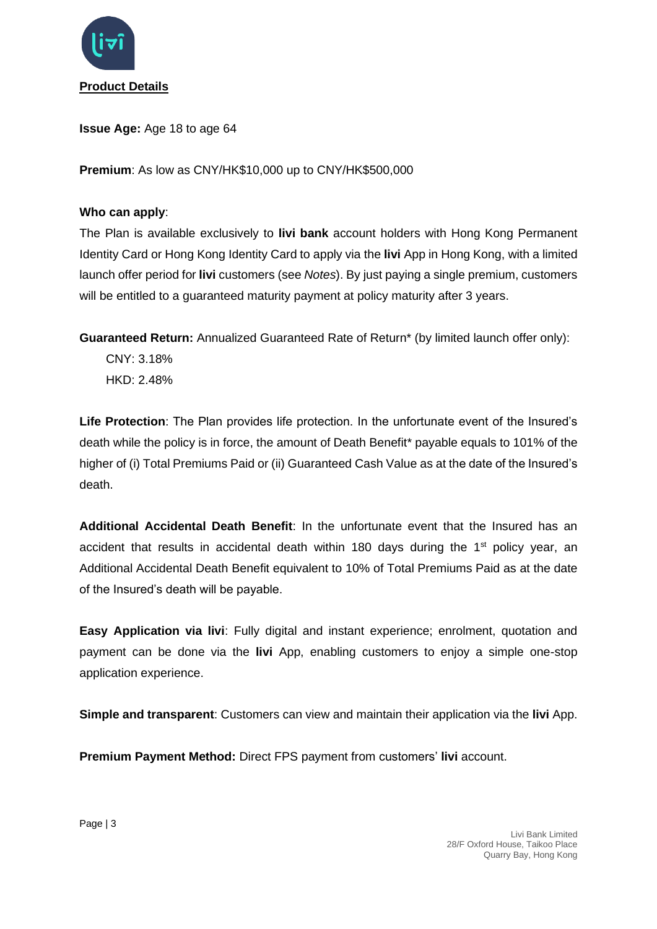

**Issue Age:** Age 18 to age 64

**Premium**: As low as CNY/HK\$10,000 up to CNY/HK\$500,000

## **Who can apply**:

The Plan is available exclusively to **livi bank** account holders with Hong Kong Permanent Identity Card or Hong Kong Identity Card to apply via the **livi** App in Hong Kong, with a limited launch offer period for **livi** customers (see *Notes*). By just paying a single premium, customers will be entitled to a quaranteed maturity payment at policy maturity after 3 years.

**Guaranteed Return:** Annualized Guaranteed Rate of Return\* (by limited launch offer only):

CNY: 3.18% HKD: 2.48%

**Life Protection**: The Plan provides life protection. In the unfortunate event of the Insured's death while the policy is in force, the amount of Death Benefit\* payable equals to 101% of the higher of (i) Total Premiums Paid or (ii) Guaranteed Cash Value as at the date of the Insured's death.

**Additional Accidental Death Benefit**: In the unfortunate event that the Insured has an accident that results in accidental death within 180 days during the  $1<sup>st</sup>$  policy year, an Additional Accidental Death Benefit equivalent to 10% of Total Premiums Paid as at the date of the Insured's death will be payable.

**Easy Application via livi**: Fully digital and instant experience; enrolment, quotation and payment can be done via the **livi** App, enabling customers to enjoy a simple one-stop application experience.

**Simple and transparent**: Customers can view and maintain their application via the **livi** App.

**Premium Payment Method:** Direct FPS payment from customers' **livi** account.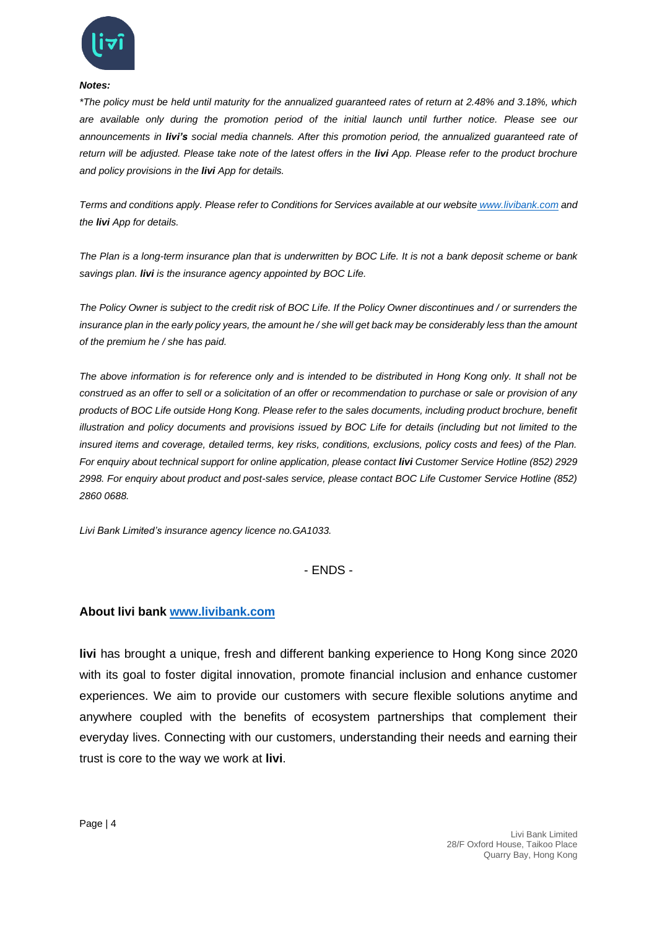

## *Notes:*

*\*The policy must be held until maturity for the annualized guaranteed rates of return at 2.48% and 3.18%, which are available only during the promotion period of the initial launch until further notice. Please see our announcements in livi's social media channels. After this promotion period, the annualized guaranteed rate of return will be adjusted. Please take note of the latest offers in the livi App. Please refer to the product brochure and policy provisions in the livi App for details.*

*Terms and conditions apply. Please refer to Conditions for Services available at our website [www.livibank.com](http://www.livibank.com/) and the livi App for details.*

*The Plan is a long-term insurance plan that is underwritten by BOC Life. It is not a bank deposit scheme or bank savings plan. livi is the insurance agency appointed by BOC Life.*

*The Policy Owner is subject to the credit risk of BOC Life. If the Policy Owner discontinues and / or surrenders the*  insurance plan in the early policy years, the amount he / she will get back may be considerably less than the amount *of the premium he / she has paid.*

*The above information is for reference only and is intended to be distributed in Hong Kong only. It shall not be construed as an offer to sell or a solicitation of an offer or recommendation to purchase or sale or provision of any products of BOC Life outside Hong Kong. Please refer to the sales documents, including product brochure, benefit illustration and policy documents and provisions issued by BOC Life for details (including but not limited to the insured items and coverage, detailed terms, key risks, conditions, exclusions, policy costs and fees) of the Plan. For enquiry about technical support for online application, please contact livi Customer Service Hotline (852) 2929 2998. For enquiry about product and post-sales service, please contact BOC Life Customer Service Hotline (852) 2860 0688.*

*Livi Bank Limited's insurance agency licence no.GA1033.*

- ENDS -

## **About livi bank [www.livibank.com](https://www.livibank.com/en/)**

**livi** has brought a unique, fresh and different banking experience to Hong Kong since 2020 with its goal to foster digital innovation, promote financial inclusion and enhance customer experiences. We aim to provide our customers with secure flexible solutions anytime and anywhere coupled with the benefits of ecosystem partnerships that complement their everyday lives. Connecting with our customers, understanding their needs and earning their trust is core to the way we work at **livi**.